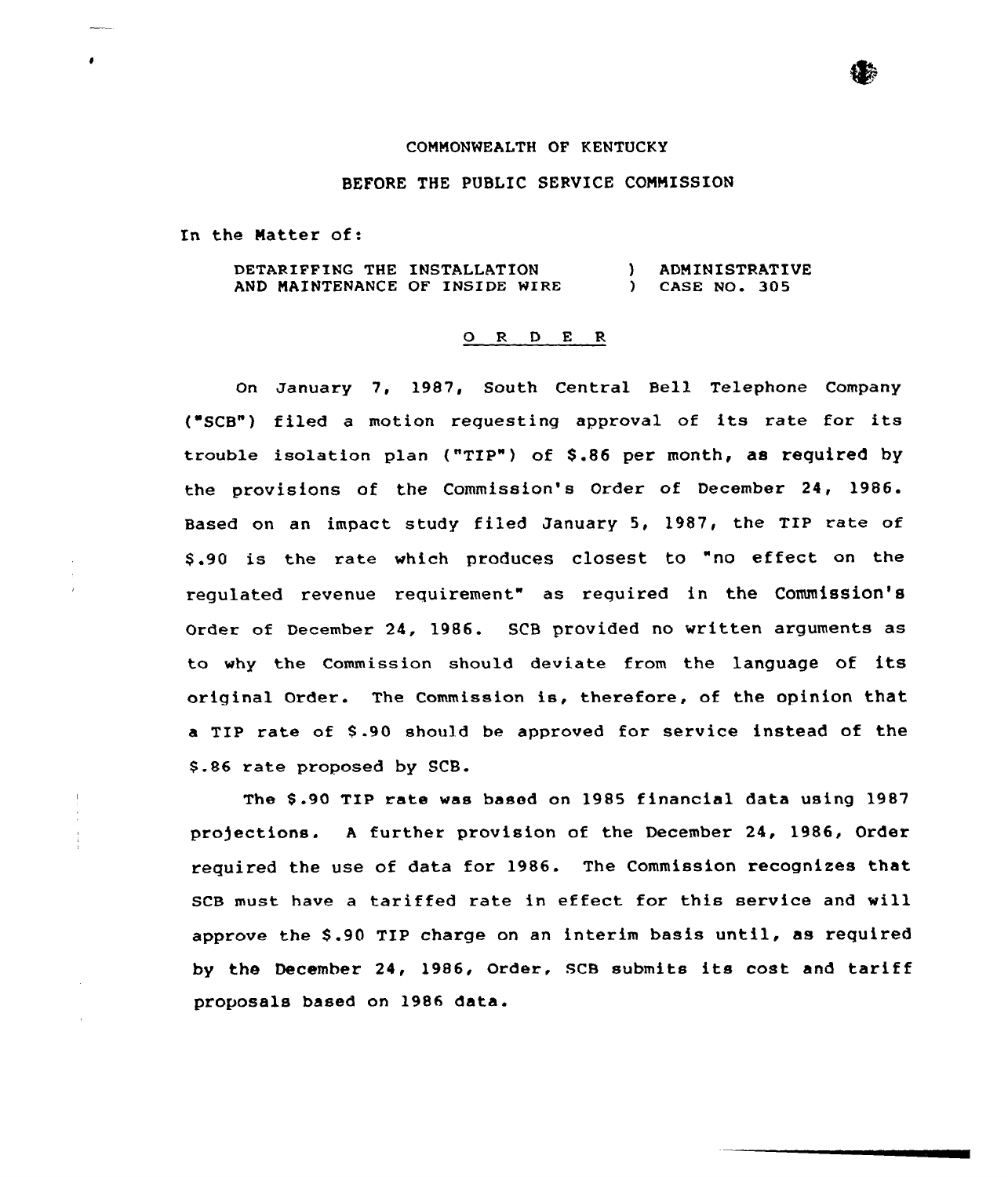## COMMONWEALTH OF KENTUCKY

## BEFORE THE PUBLIC SERVICE COMMISSION

In the Natter of:

| <b>DETARIFFING THE INSTALLATION</b> |  | ADMINISTRATIVE |
|-------------------------------------|--|----------------|
| AND MAINTENANCE OF INSIDE WIRE      |  | CASE NO. 305   |

## 0 R <sup>D</sup> E R

On January 7, 1987, South Central Bell Telephone Company ("SCB") filed a motion requesting approval of its rate for its trouble isolation plan ("TIP") of \$ .86 per month, as required by the provisions of the Commission's Order of December 24, 1986. Based on an impact study filed January 5, 1987, the TIP rate of \$ .90 is the rate which produces closest to "no effect on the regulated revenue requirement" as required in the Commission'8 Order of December 24, 1986. SCB provided no written arguments as to why the Commission should deviate from the language of its original Order. The Commission is, therefore, of the opinion that a TIP rate of \$ .90 should be approved for service instead of the \$ .86 rate proposed by SCB.

The \$ .90 TIP rate was based on 1985 financial data using 1987 pro)ections. <sup>A</sup> further provision of the December 24, 1986, Order required the use of data for 1986. The Commission recognizes that SCB must have a tariffed rate in effect for this service and will approve the \$ .90 TIP charge on an interim basis until, as required by the December 24< 1986, Order, SCB submits its cost and tariff proposals based on 1986 data.